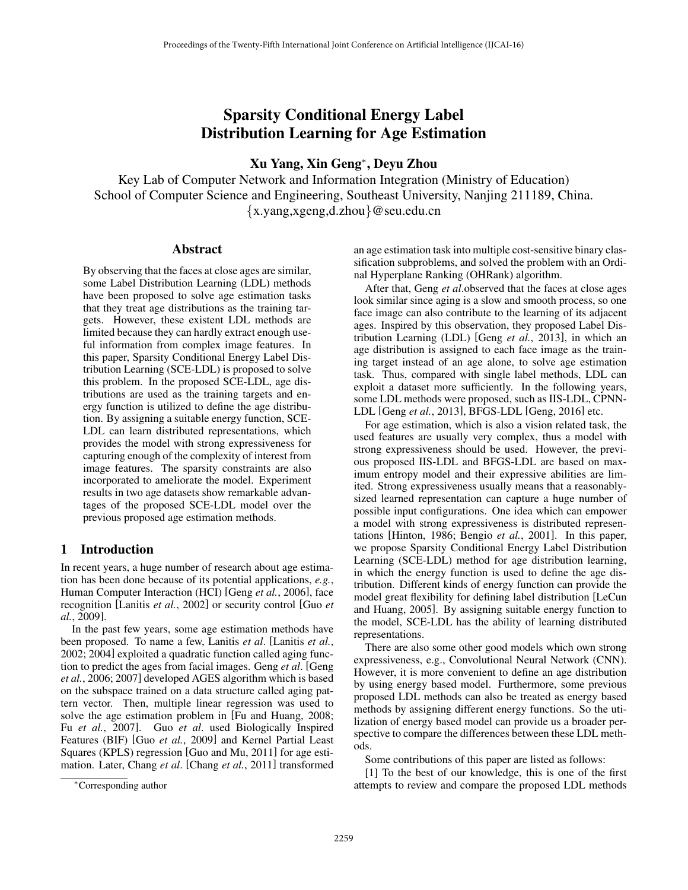# Sparsity Conditional Energy Label Distribution Learning for Age Estimation

Xu Yang, Xin Geng<sup>\*</sup>, Deyu Zhou

Key Lab of Computer Network and Information Integration (Ministry of Education) School of Computer Science and Engineering, Southeast University, Nanjing 211189, China. *{*x.yang,xgeng,d.zhou*}*@seu.edu.cn

### Abstract

By observing that the faces at close ages are similar, some Label Distribution Learning (LDL) methods have been proposed to solve age estimation tasks that they treat age distributions as the training targets. However, these existent LDL methods are limited because they can hardly extract enough useful information from complex image features. In this paper, Sparsity Conditional Energy Label Distribution Learning (SCE-LDL) is proposed to solve this problem. In the proposed SCE-LDL, age distributions are used as the training targets and energy function is utilized to define the age distribution. By assigning a suitable energy function, SCE-LDL can learn distributed representations, which provides the model with strong expressiveness for capturing enough of the complexity of interest from image features. The sparsity constraints are also incorporated to ameliorate the model. Experiment results in two age datasets show remarkable advantages of the proposed SCE-LDL model over the previous proposed age estimation methods.

## 1 Introduction

In recent years, a huge number of research about age estimation has been done because of its potential applications, *e.g.*, Human Computer Interaction (HCI) [Geng *et al.*, 2006], face recognition [Lanitis *et al.*, 2002] or security control [Guo *et al.*, 2009].

In the past few years, some age estimation methods have been proposed. To name a few, Lanitis *et al*. [Lanitis *et al.*, 2002; 2004] exploited a quadratic function called aging function to predict the ages from facial images. Geng *et al*. [Geng *et al.*, 2006; 2007] developed AGES algorithm which is based on the subspace trained on a data structure called aging pattern vector. Then, multiple linear regression was used to solve the age estimation problem in [Fu and Huang, 2008; Fu *et al.*, 2007]. Guo *et al*. used Biologically Inspired Features (BIF) [Guo *et al.*, 2009] and Kernel Partial Least Squares (KPLS) regression [Guo and Mu, 2011] for age estimation. Later, Chang *et al*. [Chang *et al.*, 2011] transformed an age estimation task into multiple cost-sensitive binary classification subproblems, and solved the problem with an Ordinal Hyperplane Ranking (OHRank) algorithm.

After that, Geng *et al*.observed that the faces at close ages look similar since aging is a slow and smooth process, so one face image can also contribute to the learning of its adjacent ages. Inspired by this observation, they proposed Label Distribution Learning (LDL) [Geng *et al.*, 2013], in which an age distribution is assigned to each face image as the training target instead of an age alone, to solve age estimation task. Thus, compared with single label methods, LDL can exploit a dataset more sufficiently. In the following years, some LDL methods were proposed, such as IIS-LDL, CPNN-LDL [Geng *et al.*, 2013], BFGS-LDL [Geng, 2016] etc.

For age estimation, which is also a vision related task, the used features are usually very complex, thus a model with strong expressiveness should be used. However, the previous proposed IIS-LDL and BFGS-LDL are based on maximum entropy model and their expressive abilities are limited. Strong expressiveness usually means that a reasonablysized learned representation can capture a huge number of possible input configurations. One idea which can empower a model with strong expressiveness is distributed representations [Hinton, 1986; Bengio *et al.*, 2001]. In this paper, we propose Sparsity Conditional Energy Label Distribution Learning (SCE-LDL) method for age distribution learning, in which the energy function is used to define the age distribution. Different kinds of energy function can provide the model great flexibility for defining label distribution [LeCun and Huang, 2005]. By assigning suitable energy function to the model, SCE-LDL has the ability of learning distributed representations.

There are also some other good models which own strong expressiveness, e.g., Convolutional Neural Network (CNN). However, it is more convenient to define an age distribution by using energy based model. Furthermore, some previous proposed LDL methods can also be treated as energy based methods by assigning different energy functions. So the utilization of energy based model can provide us a broader perspective to compare the differences between these LDL methods.

Some contributions of this paper are listed as follows:

[1] To the best of our knowledge, this is one of the first attempts to review and compare the proposed LDL methods

<sup>⇤</sup>Corresponding author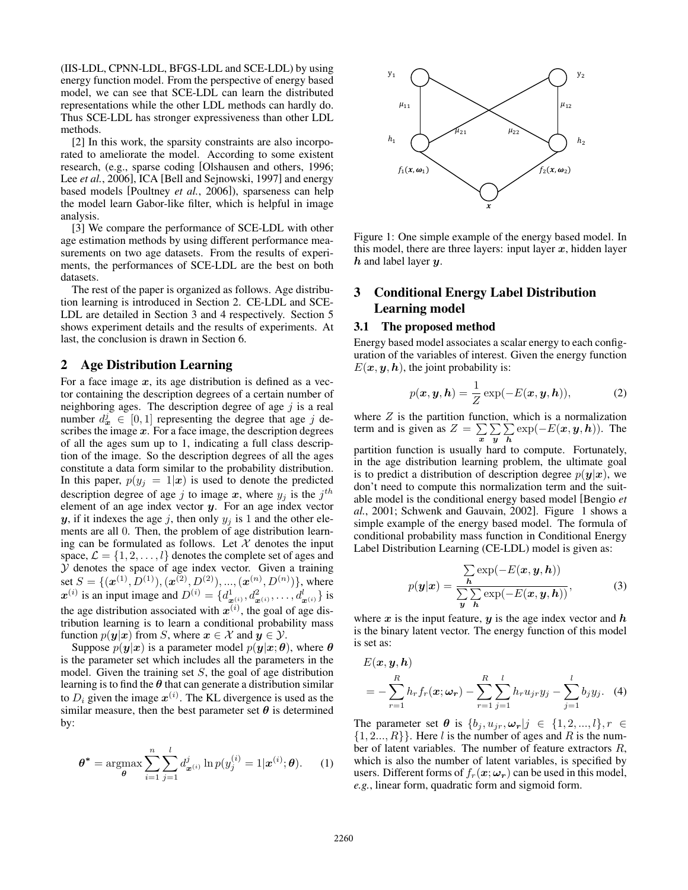(IIS-LDL, CPNN-LDL, BFGS-LDL and SCE-LDL) by using energy function model. From the perspective of energy based model, we can see that SCE-LDL can learn the distributed representations while the other LDL methods can hardly do. Thus SCE-LDL has stronger expressiveness than other LDL methods.

[2] In this work, the sparsity constraints are also incorporated to ameliorate the model. According to some existent research, (e.g., sparse coding [Olshausen and others, 1996; Lee *et al.*, 2006], ICA [Bell and Sejnowski, 1997] and energy based models [Poultney *et al.*, 2006]), sparseness can help the model learn Gabor-like filter, which is helpful in image analysis.

[3] We compare the performance of SCE-LDL with other age estimation methods by using different performance measurements on two age datasets. From the results of experiments, the performances of SCE-LDL are the best on both datasets.

The rest of the paper is organized as follows. Age distribution learning is introduced in Section 2. CE-LDL and SCE-LDL are detailed in Section 3 and 4 respectively. Section 5 shows experiment details and the results of experiments. At last, the conclusion is drawn in Section 6.

## 2 Age Distribution Learning

For a face image *x*, its age distribution is defined as a vector containing the description degrees of a certain number of neighboring ages. The description degree of age *j* is a real number  $d^j_x \in [0,1]$  representing the degree that age *j* describes the image *x*. For a face image, the description degrees of all the ages sum up to 1, indicating a full class description of the image. So the description degrees of all the ages constitute a data form similar to the probability distribution. In this paper,  $p(y_j = 1 | x)$  is used to denote the predicted description degree of age *j* to image *x*, where  $y_j$  is the  $j^{th}$ element of an age index vector *y*. For an age index vector *y*, if it indexes the age *j*, then only  $y_j$  is 1 and the other elements are all 0. Then, the problem of age distribution learning can be formulated as follows. Let  $X$  denotes the input space,  $\mathcal{L} = \{1, 2, \dots, l\}$  denotes the complete set of ages and *Y* denotes the space of age index vector. Given a training set  $S = \{ (\mathbf{x}^{(1)}, D^{(1)}), (\mathbf{x}^{(2)}, D^{(2)}), ..., (\mathbf{x}^{(n)}, D^{(n)}) \},\$  where  $x^{(i)}$  is an input image and  $D^{(i)} = \{d^1_{x^{(i)}_j}, d^2_{x^{(i)}}, \ldots, d^l_{x^{(i)}}\}$  is the age distribution associated with  $x^{(i)}$ , the goal of age distribution learning is to learn a conditional probability mass function  $p(y|x)$  from *S*, where  $x \in \mathcal{X}$  and  $y \in \mathcal{Y}$ .

Suppose  $p(\mathbf{y}|\mathbf{x})$  is a parameter model  $p(\mathbf{y}|\mathbf{x};\boldsymbol{\theta})$ , where  $\boldsymbol{\theta}$ is the parameter set which includes all the parameters in the model. Given the training set *S*, the goal of age distribution learning is to find the  $\theta$  that can generate a distribution similar to  $D_i$  given the image  $\mathbf{x}^{(i)}$ . The KL divergence is used as the similar measure, then the best parameter set  $\theta$  is determined by:

$$
\boldsymbol{\theta}^* = \operatorname*{argmax}_{\boldsymbol{\theta}} \sum_{i=1}^n \sum_{j=1}^l d_{\boldsymbol{x}^{(i)}}^j \ln p(y_j^{(i)} = 1 | \boldsymbol{x}^{(i)}; \boldsymbol{\theta}). \tag{1}
$$



Figure 1: One simple example of the energy based model. In this model, there are three layers: input layer  $x$ , hidden layer *h* and label layer *y*.

# 3 Conditional Energy Label Distribution Learning model

## 3.1 The proposed method

Energy based model associates a scalar energy to each configuration of the variables of interest. Given the energy function  $E(x, y, h)$ , the joint probability is:

$$
p(\boldsymbol{x}, \boldsymbol{y}, \boldsymbol{h}) = \frac{1}{Z} \exp(-E(\boldsymbol{x}, \boldsymbol{y}, \boldsymbol{h})), \tag{2}
$$

where *Z* is the partition function, which is a normalization term and is given as  $Z = \sum_{x}$  $\sum$ *y*  $\sum$  $\sum_{\mathbf{h}} \exp(-E(\mathbf{x}, \mathbf{y}, \mathbf{h}))$ . The

partition function is usually hard to compute. Fortunately, in the age distribution learning problem, the ultimate goal is to predict a distribution of description degree  $p(y|x)$ , we don't need to compute this normalization term and the suitable model is the conditional energy based model [Bengio *et al.*, 2001; Schwenk and Gauvain, 2002]. Figure 1 shows a simple example of the energy based model. The formula of conditional probability mass function in Conditional Energy Label Distribution Learning (CE-LDL) model is given as:

$$
p(\mathbf{y}|\mathbf{x}) = \frac{\sum_{\mathbf{h}} \exp(-E(\mathbf{x}, \mathbf{y}, \mathbf{h}))}{\sum_{\mathbf{y}} \sum_{\mathbf{h}} \exp(-E(\mathbf{x}, \mathbf{y}, \mathbf{h}))},
$$
(3)

where  $x$  is the input feature,  $y$  is the age index vector and  $h$ is the binary latent vector. The energy function of this model is set as:

$$
E(\boldsymbol{x}, \boldsymbol{y}, \boldsymbol{h})
$$
  
=  $-\sum_{r=1}^{R} h_r f_r(\boldsymbol{x}; \boldsymbol{\omega_r}) - \sum_{r=1}^{R} \sum_{j=1}^{l} h_r u_{jr} y_j - \sum_{j=1}^{l} b_j y_j.$  (4)

The parameter set  $\theta$  is  $\{b_j, u_{jr}, \omega_r | j \in \{1, 2, ..., l\}, r \in$ *{*1*,* 2*..., R}}*. Here *l* is the number of ages and *R* is the number of latent variables. The number of feature extractors *R*, which is also the number of latent variables, is specified by users. Different forms of  $f_r(\mathbf{x}; \omega_r)$  can be used in this model, *e.g.*, linear form, quadratic form and sigmoid form.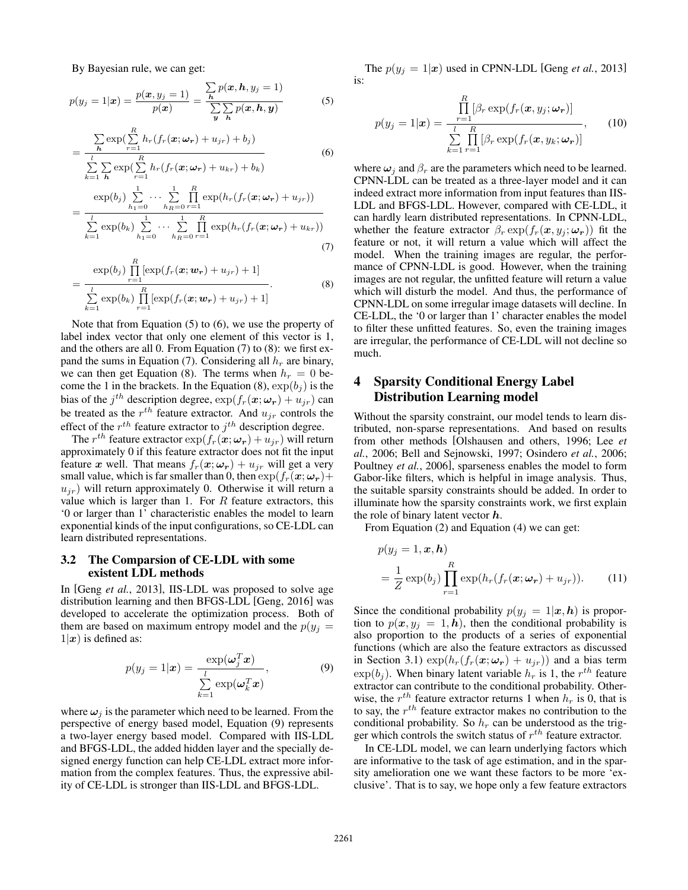By Bayesian rule, we can get:

$$
p(y_j = 1 | \boldsymbol{x}) = \frac{p(\boldsymbol{x}, y_j = 1)}{p(\boldsymbol{x})} = \frac{\sum_{\boldsymbol{h}} p(\boldsymbol{x}, \boldsymbol{h}, y_j = 1)}{\sum_{\boldsymbol{y}} \sum_{\boldsymbol{h}} p(\boldsymbol{x}, \boldsymbol{h}, \boldsymbol{y})}
$$
(5)

$$
= \frac{\sum_{\mathbf{h}} \exp\left(\sum_{r=1}^{R} h_r(f_r(\mathbf{x}; \boldsymbol{\omega_r}) + u_{jr}) + b_j\right)}{\sum_{k=1}^{l} \sum_{\mathbf{h}} \exp\left(\sum_{r=1}^{R} h_r(f_r(\mathbf{x}; \boldsymbol{\omega_r}) + u_{kr}) + b_k\right)}
$$
(6)

$$
= \frac{\exp(b_j) \sum_{h_1=0}^{1} \cdots \sum_{h_R=0}^{1} \prod_{r=1}^{R} \exp(h_r(f_r(\bm{x}; \bm{\omega_r}) + u_{jr}))}{\sum_{k=1}^{l} \exp(b_k) \sum_{h_1=0}^{1} \cdots \sum_{h_R=0}^{1} \prod_{r=1}^{R} \exp(h_r(f_r(\bm{x}; \bm{\omega_r}) + u_{kr}))}
$$
(7)

$$
= \frac{\exp(b_j)\prod\limits_{r=1}^R[\exp(f_r(\boldsymbol{x};\boldsymbol{w_r})+u_{jr})+1]}{\sum\limits_{k=1}^l \exp(b_k)\prod\limits_{r=1}^R[\exp(f_r(\boldsymbol{x};\boldsymbol{w_r})+u_{jr})+1]}.
$$
(8)

Note that from Equation (5) to (6), we use the property of label index vector that only one element of this vector is 1, and the others are all 0. From Equation (7) to (8): we first expand the sums in Equation (7). Considering all *h<sup>r</sup>* are binary, we can then get Equation (8). The terms when  $h_r = 0$  become the 1 in the brackets. In the Equation (8),  $\exp(b_j)$  is the bias of the  $j^{th}$  description degree,  $\exp(f_r(\mathbf{x}; \omega_r) + u_{jr})$  can be treated as the  $r^{th}$  feature extractor. And  $u_{jr}$  controls the effect of the *rth* feature extractor to *jth* description degree.

The  $r^{th}$  feature extractor  $\exp(f_r(\boldsymbol{x}; \boldsymbol{\omega_r}) + u_{jr})$  will return approximately 0 if this feature extractor does not fit the input feature *x* well. That means  $f_r(x; \omega_r) + u_{ir}$  will get a very small value, which is far smaller than 0, then  $\exp(f_r(\mathbf{x}; \omega_r))$  $u_{ir}$ ) will return approximately 0. Otherwise it will return a value which is larger than 1. For *R* feature extractors, this '0 or larger than 1' characteristic enables the model to learn exponential kinds of the input configurations, so CE-LDL can learn distributed representations.

### 3.2 The Comparsion of CE-LDL with some existent LDL methods

In [Geng *et al.*, 2013], IIS-LDL was proposed to solve age distribution learning and then BFGS-LDL [Geng, 2016] was developed to accelerate the optimization process. Both of them are based on maximum entropy model and the  $p(y_j =$  $1|x|$  is defined as:

$$
p(y_j = 1|\boldsymbol{x}) = \frac{\exp(\boldsymbol{\omega}_j^T \boldsymbol{x})}{\sum\limits_{k=1}^l \exp(\boldsymbol{\omega}_k^T \boldsymbol{x})},
$$
(9)

where  $\omega_i$  is the parameter which need to be learned. From the perspective of energy based model, Equation (9) represents a two-layer energy based model. Compared with IIS-LDL and BFGS-LDL, the added hidden layer and the specially designed energy function can help CE-LDL extract more information from the complex features. Thus, the expressive ability of CE-LDL is stronger than IIS-LDL and BFGS-LDL.

The  $p(y_j = 1 | x)$  used in CPNN-LDL [Geng *et al.*, 2013] is:

$$
p(y_j = 1|\boldsymbol{x}) = \frac{\prod_{r=1}^{R} [\beta_r \exp(f_r(\boldsymbol{x}, y_j; \boldsymbol{\omega_r})]}{\sum_{k=1}^{l} \prod_{r=1}^{R} [\beta_r \exp(f_r(\boldsymbol{x}, y_k; \boldsymbol{\omega_r})]},
$$
(10)

where  $\omega_i$  and  $\beta_r$  are the parameters which need to be learned. CPNN-LDL can be treated as a three-layer model and it can indeed extract more information from input features than IIS-LDL and BFGS-LDL. However, compared with CE-LDL, it can hardly learn distributed representations. In CPNN-LDL, whether the feature extractor  $\beta_r \exp(f_r(\mathbf{x}, y_i; \omega_r))$  fit the feature or not, it will return a value which will affect the model. When the training images are regular, the performance of CPNN-LDL is good. However, when the training images are not regular, the unfitted feature will return a value which will disturb the model. And thus, the performance of CPNN-LDL on some irregular image datasets will decline. In CE-LDL, the '0 or larger than 1' character enables the model to filter these unfitted features. So, even the training images are irregular, the performance of CE-LDL will not decline so much.

# 4 Sparsity Conditional Energy Label Distribution Learning model

Without the sparsity constraint, our model tends to learn distributed, non-sparse representations. And based on results from other methods [Olshausen and others, 1996; Lee *et al.*, 2006; Bell and Sejnowski, 1997; Osindero *et al.*, 2006; Poultney *et al.*, 2006], sparseness enables the model to form Gabor-like filters, which is helpful in image analysis. Thus, the suitable sparsity constraints should be added. In order to illuminate how the sparsity constraints work, we first explain the role of binary latent vector *h*.

From Equation (2) and Equation (4) we can get:

$$
p(y_j = 1, \boldsymbol{x}, \boldsymbol{h})
$$
  
=  $\frac{1}{Z} \exp(b_j) \prod_{r=1}^{R} \exp(h_r(f_r(\boldsymbol{x}; \boldsymbol{\omega_r}) + u_{jr})).$  (11)

Since the conditional probability  $p(y_j = 1 | x, h)$  is proportion to  $p(x, y_j = 1, h)$ , then the conditional probability is also proportion to the products of a series of exponential functions (which are also the feature extractors as discussed in Section 3.1)  $\exp(h_r(f_r(\mathbf{x}; \omega_r) + u_{ir}))$  and a bias term  $\exp(b_i)$ . When binary latent variable  $h_r$  is 1, the  $r^{th}$  feature extractor can contribute to the conditional probability. Otherwise, the  $r^{th}$  feature extractor returns 1 when  $h_r$  is 0, that is to say, the *rth* feature extractor makes no contribution to the conditional probability. So  $h_r$  can be understood as the trigger which controls the switch status of *rth* feature extractor.

In CE-LDL model, we can learn underlying factors which are informative to the task of age estimation, and in the sparsity amelioration one we want these factors to be more 'exclusive'. That is to say, we hope only a few feature extractors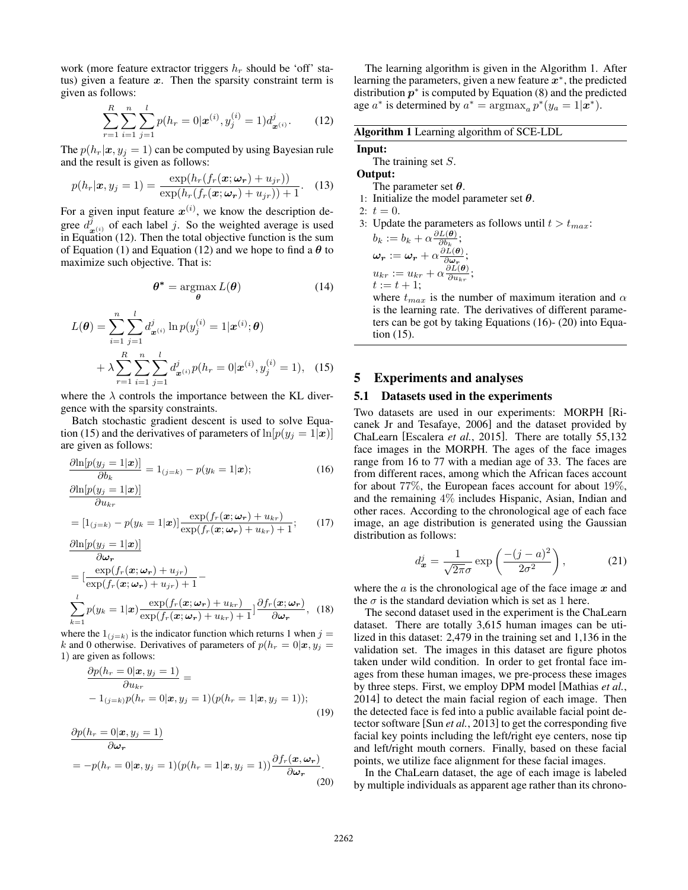work (more feature extractor triggers  $h_r$  should be 'off' status) given a feature *x*. Then the sparsity constraint term is given as follows:

$$
\sum_{r=1}^{R} \sum_{i=1}^{n} \sum_{j=1}^{l} p(h_r = 0 | \boldsymbol{x}^{(i)}, y_j^{(i)} = 1) d^j_{\boldsymbol{x}^{(i)}}.
$$
 (12)

The  $p(h_r|\mathbf{x}, y_j = 1)$  can be computed by using Bayesian rule and the result is given as follows:

$$
p(h_r|\boldsymbol{x}, y_j=1) = \frac{\exp(h_r(f_r(\boldsymbol{x}; \boldsymbol{\omega_r}) + u_{jr}))}{\exp(h_r(f_r(\boldsymbol{x}; \boldsymbol{\omega_r}) + u_{jr})) + 1}.
$$
 (13)

For a given input feature  $x^{(i)}$ , we know the description degree  $d^j_{\mathbf{x}^{(i)}}$  of each label *j*. So the weighted average is used in Equation (12). Then the total objective function is the sum of Equation (1) and Equation (12) and we hope to find a  $\theta$  to maximize such objective. That is:

$$
\boldsymbol{\theta}^* = \underset{\boldsymbol{\theta}}{\operatorname{argmax}} L(\boldsymbol{\theta}) \tag{14}
$$

$$
L(\boldsymbol{\theta}) = \sum_{i=1}^{n} \sum_{j=1}^{l} d_{\boldsymbol{x}^{(i)}}^{j} \ln p(y_j^{(i)} = 1 | \boldsymbol{x}^{(i)}; \boldsymbol{\theta})
$$

$$
+ \lambda \sum_{r=1}^{R} \sum_{i=1}^{n} \sum_{j=1}^{l} d_{\boldsymbol{x}^{(i)}}^{j} p(h_r = 0 | \boldsymbol{x}^{(i)}, y_j^{(i)} = 1), \quad (15)
$$

where the  $\lambda$  controls the importance between the KL divergence with the sparsity constraints.

Batch stochastic gradient descent is used to solve Equation (15) and the derivatives of parameters of  $\ln[p(y_i = 1 | \mathbf{x})]$ are given as follows:

$$
\frac{\partial \ln[p(y_j = 1|\boldsymbol{x})]}{\partial b_k} = 1_{(j=k)} - p(y_k = 1|\boldsymbol{x});\n\frac{\partial \ln[p(y_j = 1|\boldsymbol{x})]}{\partial u_{kr}}
$$
\n
$$
= [1_{(j=k)} - p(y_k = 1|\boldsymbol{x})] \frac{\exp(f_r(\boldsymbol{x}; \boldsymbol{\omega}_r) + u_{kr})}{\exp(f_r(\boldsymbol{x}; \boldsymbol{\omega}_r) + u_{kr}) + 1};\n\tag{17}
$$

$$
\frac{\partial \ln[p(y_j = 1 | \boldsymbol{x})]}{\partial \boldsymbol{\omega}_r} \n= \left[ \frac{\exp(f_r(\boldsymbol{x}; \boldsymbol{\omega}_r) + u_{jr})}{\exp(f_r(\boldsymbol{x}; \boldsymbol{\omega}_r) + u_{jr}) + 1} - \right] \n\sum_{k=1}^{l} p(y_k = 1 | \boldsymbol{x}) \frac{\exp(f_r(\boldsymbol{x}; \boldsymbol{\omega}_r) + u_{kr})}{\exp(f_r(\boldsymbol{x}; \boldsymbol{\omega}_r) + u_{kr}) + 1} \right] \frac{\partial f_r(\boldsymbol{x}; \boldsymbol{\omega}_r)}{\partial \boldsymbol{\omega}_r},
$$
(18)

where the  $1_{(i=k)}$  is the indicator function which returns 1 when  $j =$ *k* and 0 otherwise. Derivatives of parameters of  $p(h_r = 0 | \mathbf{x}, y_j = 0)$ 1) are given as follows:

$$
\frac{\partial p(h_r=0|\boldsymbol{x}, y_j=1)}{\partial u_{kr}} = -1_{(j=k)}p(h_r=0|\boldsymbol{x}, y_j=1)(p(h_r=1|\boldsymbol{x}, y_j=1));
$$
\n(19)

$$
\frac{\partial p(h_r = 0 | \mathbf{x}, y_j = 1)}{\partial \omega_r} \n= -p(h_r = 0 | \mathbf{x}, y_j = 1) (p(h_r = 1 | \mathbf{x}, y_j = 1)) \frac{\partial f_r(\mathbf{x}, \omega_r)}{\partial \omega_r}.
$$
\n(20)

The learning algorithm is given in the Algorithm 1. After learning the parameters, given a new feature  $x^*$ , the predicted distribution  $p^*$  is computed by Equation (8) and the predicted age  $a^*$  is determined by  $a^* = \argmax_a p^*(y_a = 1 | x^*)$ .

Algorithm 1 Learning algorithm of SCE-LDL

# Input:

The training set *S*.

# Output:

- The parameter set  $\theta$ . 1: Initialize the model parameter set  $\theta$ .
- 2:  $t = 0$ .
	-
- 3: Update the parameters as follows until  $t > t_{max}$ :

$$
b_k := b_k + \alpha \frac{\partial L(\boldsymbol{\theta})}{\partial b_k};
$$
  
\n
$$
\boldsymbol{\omega_r} := \boldsymbol{\omega_r} + \alpha \frac{\partial L(\boldsymbol{\theta})}{\partial \boldsymbol{\omega_r}};
$$
  
\n
$$
u_{kr} := u_{kr} + \alpha \frac{\partial L(\boldsymbol{\theta})}{\partial u_{kr}};
$$
  
\n
$$
t := t + 1;
$$

where  $t_{max}$  is the number of maximum iteration and  $\alpha$ is the learning rate. The derivatives of different parameters can be got by taking Equations (16)- (20) into Equation (15).

## 5 Experiments and analyses

#### 5.1 Datasets used in the experiments

Two datasets are used in our experiments: MORPH [Ricanek Jr and Tesafaye, 2006] and the dataset provided by ChaLearn [Escalera *et al.*, 2015]. There are totally 55,132 face images in the MORPH. The ages of the face images range from 16 to 77 with a median age of 33. The faces are from different races, among which the African faces account for about 77%, the European faces account for about 19%, and the remaining 4% includes Hispanic, Asian, Indian and other races. According to the chronological age of each face image, an age distribution is generated using the Gaussian distribution as follows:

$$
d_{\mathbf{x}}^{j} = \frac{1}{\sqrt{2\pi}\sigma} \exp\left(\frac{-(j-a)^{2}}{2\sigma^{2}}\right),\tag{21}
$$

where the *a* is the chronological age of the face image *x* and the  $\sigma$  is the standard deviation which is set as 1 here.

The second dataset used in the experiment is the ChaLearn dataset. There are totally 3,615 human images can be utilized in this dataset: 2,479 in the training set and 1,136 in the validation set. The images in this dataset are figure photos taken under wild condition. In order to get frontal face images from these human images, we pre-process these images by three steps. First, we employ DPM model [Mathias *et al.*, 2014] to detect the main facial region of each image. Then the detected face is fed into a public available facial point detector software [Sun *et al.*, 2013] to get the corresponding five facial key points including the left/right eye centers, nose tip and left/right mouth corners. Finally, based on these facial points, we utilize face alignment for these facial images.

In the ChaLearn dataset, the age of each image is labeled by multiple individuals as apparent age rather than its chrono-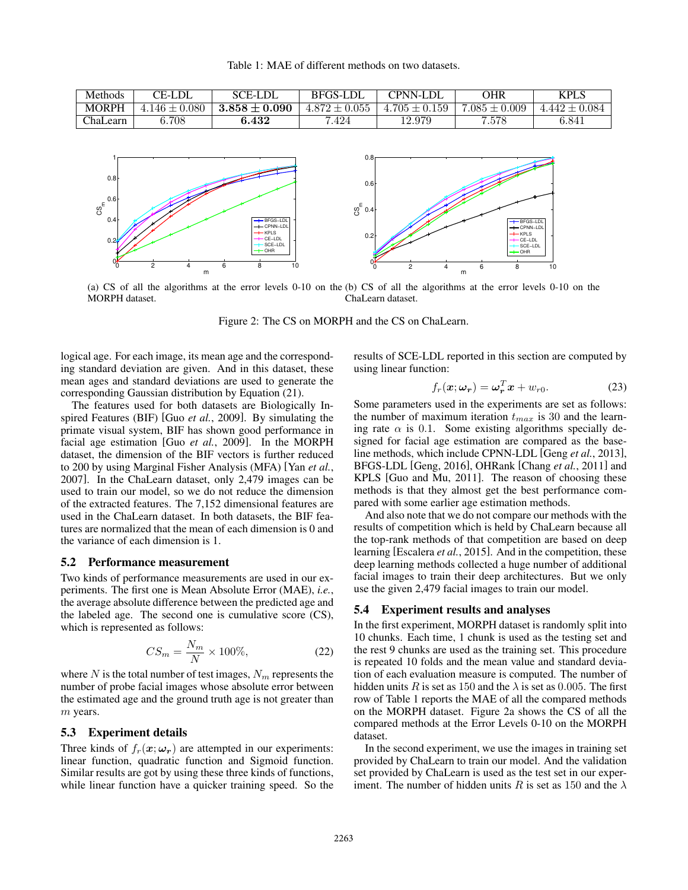

(a) CS of all the algorithms at the error levels 0-10 on the (b) CS of all the algorithms at the error levels 0-10 on the MORPH dataset. ChaLearn dataset.

Figure 2: The CS on MORPH and the CS on ChaLearn.

logical age. For each image, its mean age and the corresponding standard deviation are given. And in this dataset, these mean ages and standard deviations are used to generate the corresponding Gaussian distribution by Equation (21).

<sup>0</sup> <sup>2</sup> <sup>4</sup> <sup>6</sup> <sup>8</sup> <sup>10</sup> <sup>0</sup>

m

The features used for both datasets are Biologically Inspired Features (BIF) [Guo *et al.*, 2009]. By simulating the primate visual system, BIF has shown good performance in facial age estimation [Guo *et al.*, 2009]. In the MORPH dataset, the dimension of the BIF vectors is further reduced to 200 by using Marginal Fisher Analysis (MFA) [Yan *et al.*, 2007]. In the ChaLearn dataset, only 2,479 images can be used to train our model, so we do not reduce the dimension of the extracted features. The 7,152 dimensional features are used in the ChaLearn dataset. In both datasets, the BIF features are normalized that the mean of each dimension is 0 and the variance of each dimension is 1.

### 5.2 Performance measurement

Two kinds of performance measurements are used in our experiments. The first one is Mean Absolute Error (MAE), *i.e.*, the average absolute difference between the predicted age and the labeled age. The second one is cumulative score (CS), which is represented as follows:

$$
CS_m = \frac{N_m}{N} \times 100\%,\tag{22}
$$

where  $N$  is the total number of test images,  $N_m$  represents the number of probe facial images whose absolute error between the estimated age and the ground truth age is not greater than *m* years.

#### 5.3 Experiment details

Three kinds of  $f_r(\mathbf{x}; \omega_r)$  are attempted in our experiments: linear function, quadratic function and Sigmoid function. Similar results are got by using these three kinds of functions, while linear function have a quicker training speed. So the results of SCE-LDL reported in this section are computed by using linear function:

 $\begin{array}{ccccccc}\n0 & 2 & 4 & 6 & 8 & 10\n\end{array}$ 

m

$$
f_r(\boldsymbol{x}; \boldsymbol{\omega_r}) = \boldsymbol{\omega_r}^T \boldsymbol{x} + w_{r0}.
$$
 (23)

Some parameters used in the experiments are set as follows: the number of maximum iteration  $t_{max}$  is 30 and the learning rate  $\alpha$  is 0.1. Some existing algorithms specially designed for facial age estimation are compared as the baseline methods, which include CPNN-LDL [Geng *et al.*, 2013], BFGS-LDL [Geng, 2016], OHRank [Chang *et al.*, 2011] and KPLS [Guo and Mu, 2011]. The reason of choosing these methods is that they almost get the best performance compared with some earlier age estimation methods.

And also note that we do not compare our methods with the results of competition which is held by ChaLearn because all the top-rank methods of that competition are based on deep learning [Escalera *et al.*, 2015]. And in the competition, these deep learning methods collected a huge number of additional facial images to train their deep architectures. But we only use the given 2,479 facial images to train our model.

#### 5.4 Experiment results and analyses

In the first experiment, MORPH dataset is randomly split into 10 chunks. Each time, 1 chunk is used as the testing set and the rest 9 chunks are used as the training set. This procedure is repeated 10 folds and the mean value and standard deviation of each evaluation measure is computed. The number of hidden units *R* is set as 150 and the  $\lambda$  is set as 0.005. The first row of Table 1 reports the MAE of all the compared methods on the MORPH dataset. Figure 2a shows the CS of all the compared methods at the Error Levels 0-10 on the MORPH dataset.

In the second experiment, we use the images in training set provided by ChaLearn to train our model. And the validation set provided by ChaLearn is used as the test set in our experiment. The number of hidden units *R* is set as 150 and the  $\lambda$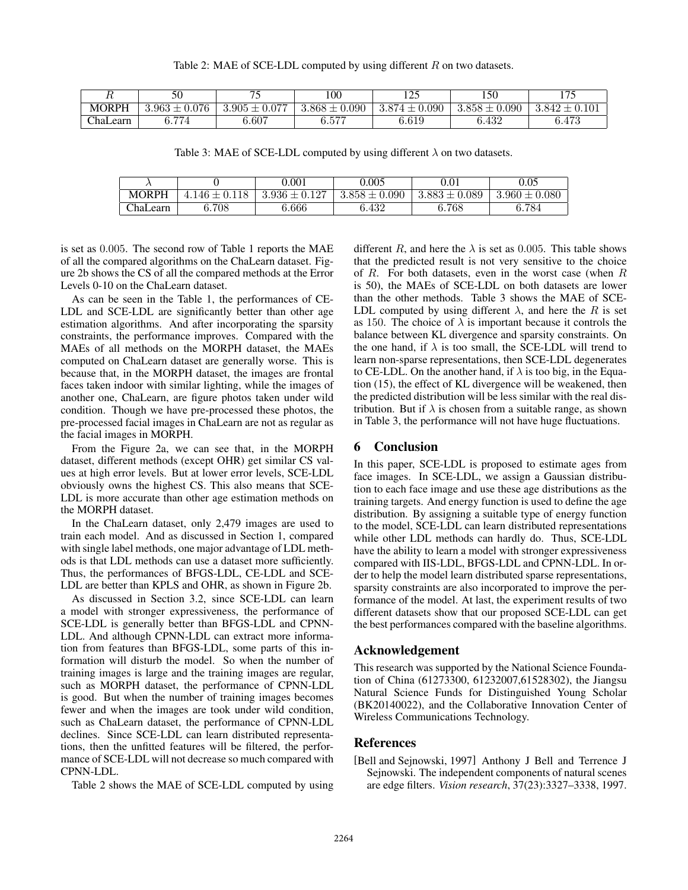|          |                           | $\pi$             | 100               | $1 \cap F$        | 50ء                    | 175            |
|----------|---------------------------|-------------------|-------------------|-------------------|------------------------|----------------|
| MORPH    | $3.963 \pm 1$<br>$-0.076$ | $3.905 \pm 0.077$ | $3.868 \pm 0.090$ | $3.874 \pm 0.090$ | .090<br>$3.858 \pm 0.$ | $3.842 \pm 0.$ |
| ChaLearn | 6.774                     | 6.607             | 6.577             | $6.619\,$         | 6.432                  | 6.473          |

Table 3: MAE of SCE-LDL computed by using different  $\lambda$  on two datasets.

|                 |      | $0.001\,$           | 0.005             | $\rm 0.01$        | 0.05              |
|-----------------|------|---------------------|-------------------|-------------------|-------------------|
| <b>MORPH</b>    | 146- | $3.936 \pm 0.127$   | $3.858 \pm 0.090$ | $3.883 \pm 0.089$ | $3.960 \pm 0.080$ |
| <b>ChaLearn</b> | 708  | $\hphantom{0}6.666$ | 6.432             | $6.768\,$         | 6.784             |

is set as 0*.*005. The second row of Table 1 reports the MAE of all the compared algorithms on the ChaLearn dataset. Figure 2b shows the CS of all the compared methods at the Error Levels 0-10 on the ChaLearn dataset.

As can be seen in the Table 1, the performances of CE-LDL and SCE-LDL are significantly better than other age estimation algorithms. And after incorporating the sparsity constraints, the performance improves. Compared with the MAEs of all methods on the MORPH dataset, the MAEs computed on ChaLearn dataset are generally worse. This is because that, in the MORPH dataset, the images are frontal faces taken indoor with similar lighting, while the images of another one, ChaLearn, are figure photos taken under wild condition. Though we have pre-processed these photos, the pre-processed facial images in ChaLearn are not as regular as the facial images in MORPH.

From the Figure 2a, we can see that, in the MORPH dataset, different methods (except OHR) get similar CS values at high error levels. But at lower error levels, SCE-LDL obviously owns the highest CS. This also means that SCE-LDL is more accurate than other age estimation methods on the MORPH dataset.

In the ChaLearn dataset, only 2,479 images are used to train each model. And as discussed in Section 1, compared with single label methods, one major advantage of LDL methods is that LDL methods can use a dataset more sufficiently. Thus, the performances of BFGS-LDL, CE-LDL and SCE-LDL are better than KPLS and OHR, as shown in Figure 2b.

As discussed in Section 3.2, since SCE-LDL can learn a model with stronger expressiveness, the performance of SCE-LDL is generally better than BFGS-LDL and CPNN-LDL. And although CPNN-LDL can extract more information from features than BFGS-LDL, some parts of this information will disturb the model. So when the number of training images is large and the training images are regular, such as MORPH dataset, the performance of CPNN-LDL is good. But when the number of training images becomes fewer and when the images are took under wild condition, such as ChaLearn dataset, the performance of CPNN-LDL declines. Since SCE-LDL can learn distributed representations, then the unfitted features will be filtered, the performance of SCE-LDL will not decrease so much compared with CPNN-LDL.

Table 2 shows the MAE of SCE-LDL computed by using

different *R*, and here the  $\lambda$  is set as 0.005. This table shows that the predicted result is not very sensitive to the choice of *R*. For both datasets, even in the worst case (when *R* is 50), the MAEs of SCE-LDL on both datasets are lower than the other methods. Table 3 shows the MAE of SCE-LDL computed by using different  $\lambda$ , and here the *R* is set as 150. The choice of  $\lambda$  is important because it controls the balance between KL divergence and sparsity constraints. On the one hand, if  $\lambda$  is too small, the SCE-LDL will trend to learn non-sparse representations, then SCE-LDL degenerates to CE-LDL. On the another hand, if  $\lambda$  is too big, in the Equation (15), the effect of KL divergence will be weakened, then the predicted distribution will be less similar with the real distribution. But if  $\lambda$  is chosen from a suitable range, as shown in Table 3, the performance will not have huge fluctuations.

### 6 Conclusion

In this paper, SCE-LDL is proposed to estimate ages from face images. In SCE-LDL, we assign a Gaussian distribution to each face image and use these age distributions as the training targets. And energy function is used to define the age distribution. By assigning a suitable type of energy function to the model, SCE-LDL can learn distributed representations while other LDL methods can hardly do. Thus, SCE-LDL have the ability to learn a model with stronger expressiveness compared with IIS-LDL, BFGS-LDL and CPNN-LDL. In order to help the model learn distributed sparse representations, sparsity constraints are also incorporated to improve the performance of the model. At last, the experiment results of two different datasets show that our proposed SCE-LDL can get the best performances compared with the baseline algorithms.

## Acknowledgement

This research was supported by the National Science Foundation of China (61273300, 61232007,61528302), the Jiangsu Natural Science Funds for Distinguished Young Scholar (BK20140022), and the Collaborative Innovation Center of Wireless Communications Technology.

## References

[Bell and Sejnowski, 1997] Anthony J Bell and Terrence J Sejnowski. The independent components of natural scenes are edge filters. *Vision research*, 37(23):3327–3338, 1997.